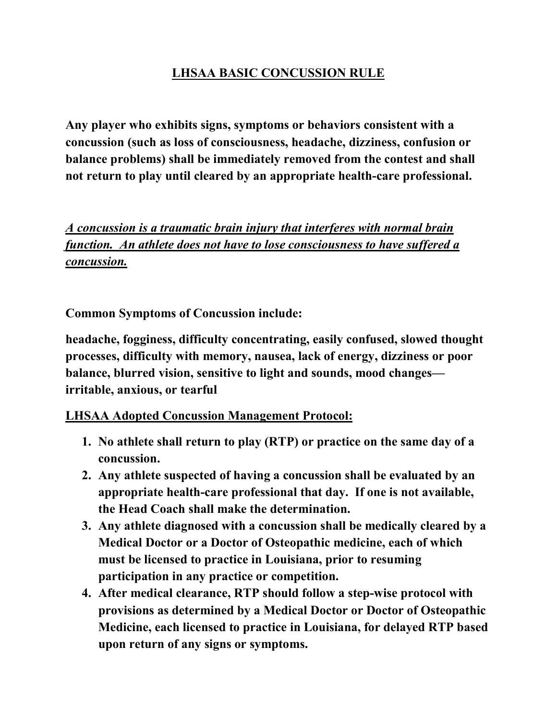## LHSAA BASIC CONCUSSION RULE

Any player who exhibits signs, symptoms or behaviors consistent with a concussion (such as loss of consciousness, headache, dizziness, confusion or balance problems) shall be immediately removed from the contest and shall not return to play until cleared by an appropriate health-care professional.

A concussion is a traumatic brain injury that interferes with normal brain function. An athlete does not have to lose consciousness to have suffered a concussion.

Common Symptoms of Concussion include:

headache, fogginess, difficulty concentrating, easily confused, slowed thought processes, difficulty with memory, nausea, lack of energy, dizziness or poor balance, blurred vision, sensitive to light and sounds, mood changes irritable, anxious, or tearful

## LHSAA Adopted Concussion Management Protocol:

- 1. No athlete shall return to play (RTP) or practice on the same day of a
- concussion. 2. Any athlete suspected of having a concussion shall be evaluated by an appropriate health-care professional that day. If one is not available,
- the Head Coach shall make the determination. 3. Any athlete diagnosed with a concussion shall be medically cleared by a Medical Doctor or a Doctor of Osteopathic medicine, each of which must be licensed to practice in Louisiana, prior to resuming participation in any practice or competition. 4. After medical clearance, RTP should follow a step-wise protocol with
- provisions as determined by a Medical Doctor or Doctor of Osteopathic Medicine, each licensed to practice in Louisiana, for delayed RTP based upon return of any signs or symptoms.